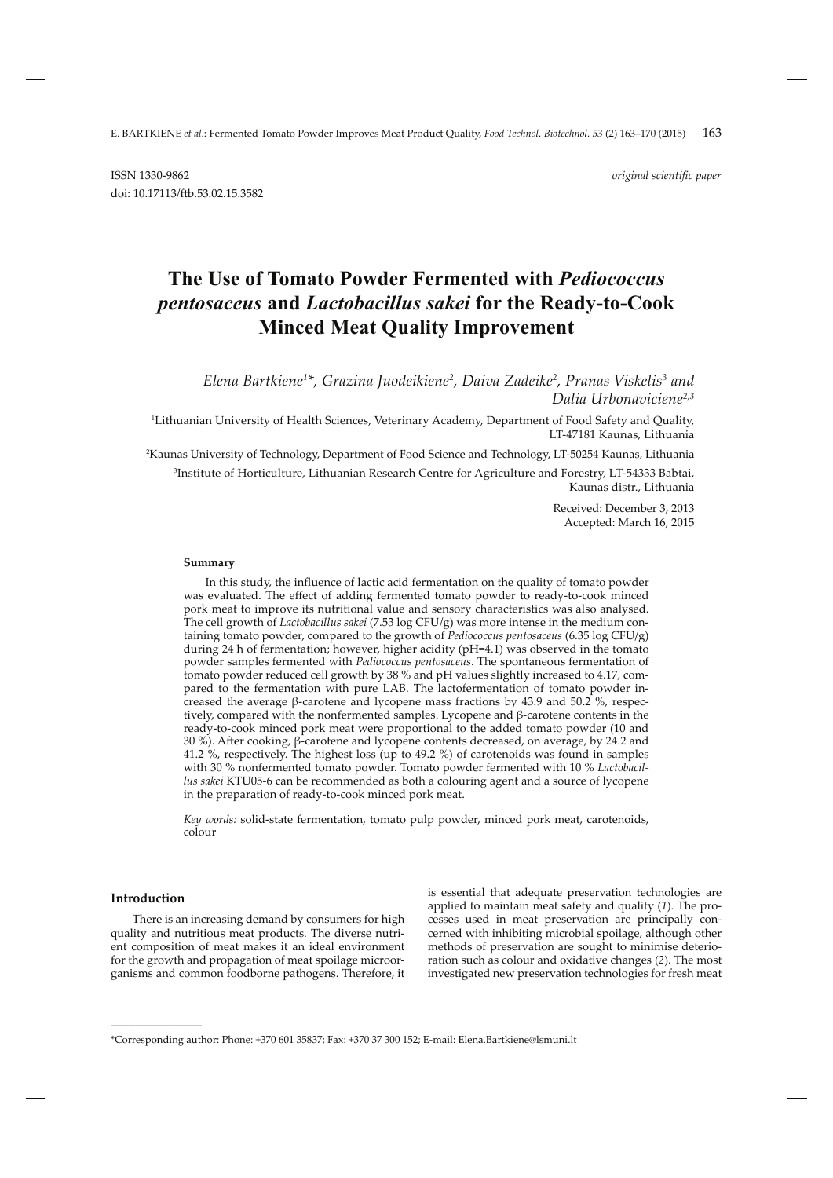# **The Use of Tomato Powder Fermented with** *Pediococcus pentosaceus* **and** *Lactobacillus sakei* **for the Ready-to-Cook Minced Meat Quality Improvement**

*Elena Bartkiene1 \*, Grazina Juodeikiene2 , Daiva Zadeike2 , Pranas Viskelis3 and Dalia Urbonaviciene2,3*

1 Lithuanian University of Health Sciences, Veterinary Academy, Department of Food Safety and Quality, LT-47181 Kaunas, Lithuania

2 Kaunas University of Technology, Department of Food Science and Technology, LT-50254 Kaunas, Lithuania

3 Institute of Horticulture, Lithuanian Research Centre for Agriculture and Forestry, LT-54333 Babtai, Kaunas distr., Lithuania

> Received: December 3, 2013 Accepted: March 16, 2015

#### **Summary**

In this study, the influence of lactic acid fermentation on the quality of tomato powder was evaluated. The effect of adding fermented tomato powder to ready-to-cook minced pork meat to improve its nutritional value and sensory characteristics was also analysed. The cell growth of *Lactobacillus sakei* (7.53 log CFU/g) was more intense in the medium containing tomato powder, compared to the growth of *Pediococcus pentosaceus* (6.35 log CFU/g) during 24 h of fermentation; however, higher acidity (pH=4.1) was observed in the tomato powder samples fermented with *Pediococcus pentosaceus*. The spontaneous fermentation of tomato powder reduced cell growth by 38 % and pH values slightly increased to 4.17, compared to the fermentation with pure LAB. The lactofermentation of tomato powder increased the average β-carotene and lycopene mass fractions by 43.9 and 50.2 %, respectively, compared with the nonfermented samples. Lycopene and β-carotene contents in the ready-to-cook minced pork meat were proportional to the added tomato powder (10 and 30 %). After cooking, β-carotene and lycopene contents decreased, on average, by 24.2 and 41.2 %, respectively. The highest loss (up to 49.2 %) of carotenoids was found in samples with 30 % nonfermented tomato powder. Tomato powder fermented with 10 % *Lactobacillus sakei* KTU05-6 can be recommended as both a colouring agent and a source of lycopene in the preparation of ready-to-cook minced pork meat.

*Key words:* solid-state fermentation, tomato pulp powder, minced pork meat, carotenoids, colour

## **Introduction**

**\_\_\_\_\_\_\_\_\_\_\_\_\_\_\_\_\_\_\_\_\_\_\_\_\_\_\_\_\_\_**

There is an increasing demand by consumers for high quality and nutritious meat products. The diverse nutrient composition of meat makes it an ideal environment for the growth and propagation of meat spoilage microorganisms and common foodborne pathogens. Therefore, it is essential that adequate preservation technologies are applied to maintain meat safety and quality (*1*). The processes used in meat preservation are principally concerned with inhibiting microbial spoilage, although other methods of preservation are sought to minimise deterioration such as colour and oxidative changes (*2*). The most investigated new preservation technologies for fresh meat

<sup>\*</sup>Corresponding author: Phone: +370 601 35837; Fax: +370 37 300 152; E-mail: Elena.Bartkiene@lsmuni.lt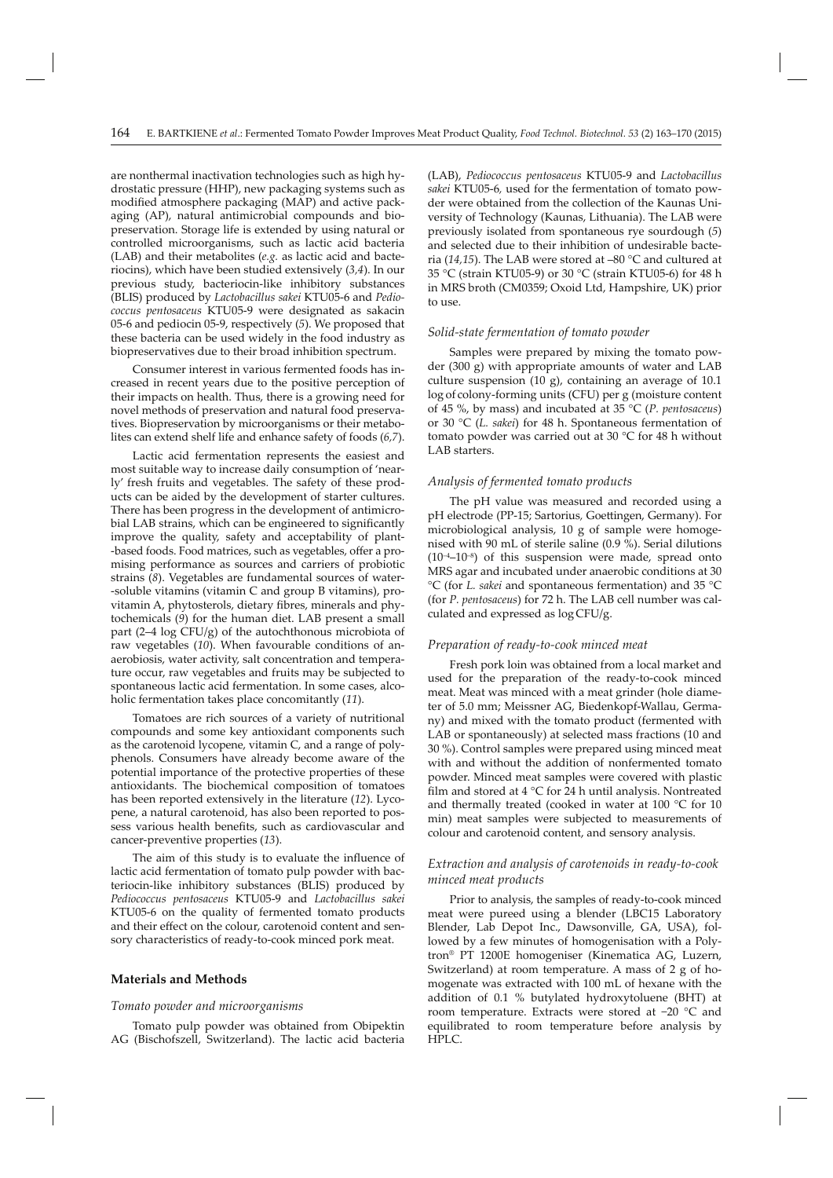are nonthermal inactivation technologies such as high hydrostatic pressure (HHP), new packaging systems such as modified atmosphere packaging (MAP) and active packaging (AP), natural antimicrobial compounds and biopreservation. Storage life is extended by using natural or controlled microorganisms, such as lactic acid bacteria (LAB) and their metabolites (*e.g.* as lactic acid and bacteriocins), which have been studied extensively (*3,4*). In our previous study, bacteriocin-like inhibitory substances (BLIS) produced by *Lactobacillus sakei* KTU05-6 and *Pediococcus pentosaceus* KTU05-9 were designated as sakacin 05-6 and pediocin 05-9, respectively (*5*). We proposed that these bacteria can be used widely in the food industry as biopreservatives due to their broad inhibition spectrum.

Consumer interest in various fermented foods has increased in recent years due to the positive perception of their impacts on health. Thus, there is a growing need for novel methods of preservation and natural food preservatives. Biopreservation by microorganisms or their metabolites can extend shelf life and enhance safety of foods (*6,7*).

Lactic acid fermentation represents the easiest and most suitable way to increase daily consumption of 'nearly' fresh fruits and vegetables. The safety of these products can be aided by the development of starter cultures. There has been progress in the development of antimicrobial LAB strains, which can be engineered to significantly improve the quality, safety and acceptability of plant- -based foods. Food matrices, such as vegetables, offer a promising performance as sources and carriers of probiotic strains (*8*). Vegetables are fundamental sources of water- -soluble vitamins (vitamin C and group B vitamins), provitamin A, phytosterols, dietary fibres, minerals and phytochemicals (*9*) for the human diet. LAB present a small part (2–4 log CFU/g) of the autochthonous microbiota of raw vegetables (*10*). When favourable conditions of anaerobiosis, water activity, salt concentration and temperature occur, raw vegetables and fruits may be subjected to spontaneous lactic acid fermentation. In some cases, alcoholic fermentation takes place concomitantly (*11*).

Tomatoes are rich sources of a variety of nutritional compounds and some key antioxidant components such as the carotenoid lycopene, vitamin C, and a range of polyphenols. Consumers have already become aware of the potential importance of the protective properties of these antioxidants. The biochemical composition of tomatoes has been reported extensively in the literature (*12*). Lycopene, a natural carotenoid, has also been reported to possess various health benefits, such as cardiovascular and cancer-preventive properties (*13*).

The aim of this study is to evaluate the influence of lactic acid fermentation of tomato pulp powder with bacteriocin-like inhibitory substances (BLIS) produced by *Pediococcus pentosaceus* KTU05-9 and *Lactobacillus sakei*  KTU05-6 on the quality of fermented tomato products and their effect on the colour, carotenoid content and sensory characteristics of ready-to-cook minced pork meat.

## **Materials and Methods**

#### *Tomato powder and microorganisms*

Tomato pulp powder was obtained from Obipektin AG (Bischofszell, Switzerland). The lactic acid bacteria (LAB), *Pediococcus pentosaceus* KTU05-9 and *Lactobacillus sakei* KTU05-6*,* used for the fermentation of tomato powder were obtained from the collection of the Kaunas University of Technology (Kaunas, Lithuania). The LAB were previously isolated from spontaneous rye sourdough (*5*) and selected due to their inhibition of undesirable bacteria (*14,15*). The LAB were stored at –80 °C and cultured at 35 °C (strain KTU05-9) or 30 °C (strain KTU05-6) for 48 h in MRS broth (CM0359; Oxoid Ltd, Hampshire, UK) prior to use.

## *Solid-state fermentation of tomato powder*

Samples were prepared by mixing the tomato powder (300 g) with appropriate amounts of water and LAB culture suspension (10 g), containing an average of 10.1 log of colony-forming units (CFU) per g (moisture content of 45 %, by mass) and incubated at 35 °C (*P. pentosaceus*) or 30 °C (*L. sakei*) for 48 h. Spontaneous fermentation of tomato powder was carried out at 30 °C for 48 h without LAB starters.

## *Analysis of fermented tomato products*

The pH value was measured and recorded using a pH electrode (PP-15; Sartorius, Goettingen, Germany). For microbiological analysis,  $10 \text{ g}$  of sample were homogenised with 90 mL of sterile saline (0.9 %). Serial dilutions  $(10^{-4}-10^{-8})$  of this suspension were made, spread onto MRS agar and incubated under anaerobic conditions at 30 °C (for *L. sakei* and spontaneous fermentation) and 35 °C (for *P. pentosaceus*) for 72 h. The LAB cell number was calculated and expressed as log CFU/g.

## *Preparation of ready-to-cook minced meat*

Fresh pork loin was obtained from a local market and used for the preparation of the ready-to-cook minced meat. Meat was minced with a meat grinder (hole diameter of 5.0 mm; Meissner AG, Biedenkopf-Wallau, Germany) and mixed with the tomato product (fermented with LAB or spontaneously) at selected mass fractions (10 and 30 %). Control samples were prepared using minced meat with and without the addition of nonfermented tomato powder. Minced meat samples were covered with plastic film and stored at  $4 °C$  for 24 h until analysis. Nontreated and thermally treated (cooked in water at 100 °C for 10 min) meat samples were subjected to measurements of colour and carotenoid content, and sensory analysis.

# *Extraction and analysis of carotenoids in ready-to-cook minced meat products*

Prior to analysis, the samples of ready-to-cook minced meat were pureed using a blender (LBC15 Laboratory Blender, Lab Depot Inc., Dawsonville, GA, USA), followed by a few minutes of homogenisation with a Polytron® PT 1200E homogeniser (Kinematica AG, Luzern, Switzerland) at room temperature. A mass of 2 g of homogenate was extracted with 100 mL of hexane with the addition of 0.1 % butylated hydroxytoluene (BHT) at room temperature. Extracts were stored at −20 °C and equilibrated to room temperature before analysis by HPLC.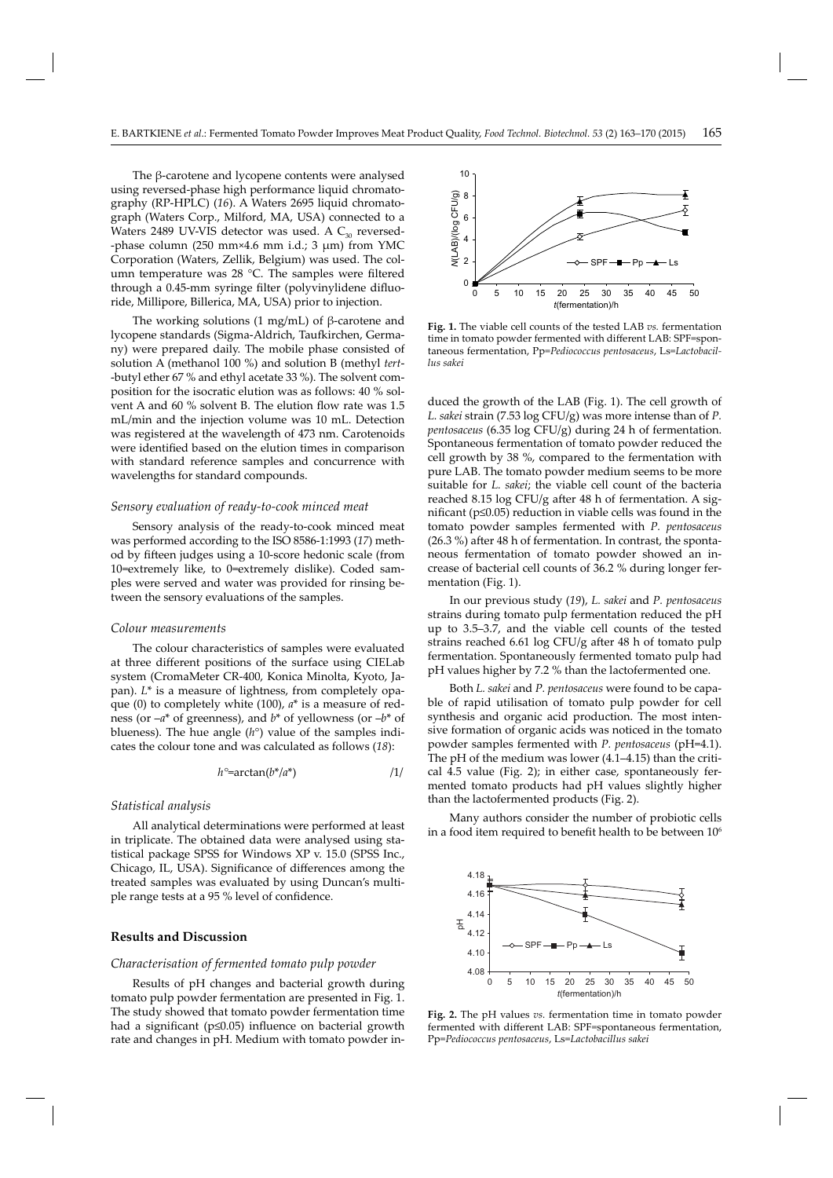The β-carotene and lycopene contents were analysed using reversed-phase high performance liquid chromatography (RP-HPLC) (*16*). A Waters 2695 liquid chromatograph (Waters Corp., Milford, MA, USA) connected to a Waters 2489 UV-VIS detector was used. A  $C_{30}$  reversed--phase column (250 mm×4.6 mm i.d.; 3  $\mu$ m) from YMC Corporation (Waters, Zellik, Belgium) was used. The column temperature was  $28$  °C. The samples were filtered through a 0.45-mm syringe filter (polyvinylidene difluoride, Millipore, Billerica, MA, USA) prior to injection.

The working solutions  $(1 \text{ mg/mL})$  of β-carotene and lycopene standards (Sigma-Aldrich, Taufkirchen, Germany) were prepared daily. The mobile phase consisted of solution A (methanol 100 %) and solution B (methyl *tert*- -butyl ether 67 % and ethyl acetate 33 %). The solvent composition for the isocratic elution was as follows: 40 % solvent A and 60 % solvent B. The elution flow rate was 1.5 mL/min and the injection volume was 10 mL. Detection was registered at the wavelength of 473 nm. Carotenoids were identified based on the elution times in comparison with standard reference samples and concurrence with wavelengths for standard compounds.

#### *Sensory evaluation of ready-to-cook minced meat*

Sensory analysis of the ready-to-cook minced meat was performed according to the ISO 8586-1:1993 (*17*) method by fifteen judges using a 10-score hedonic scale (from 10=extremely like, to 0=extremely dislike). Coded samples were served and water was provided for rinsing between the sensory evaluations of the samples.

## *Colour measurements*

The colour characteristics of samples were evaluated at three different positions of the surface using CIELab system (CromaMeter CR-400, Konica Minolta, Kyoto, Japan). *L*<sup>\*</sup> is a measure of lightness, from completely opaque (0) to completely white (100), *a*\* is a measure of redness (or –*a*\* of greenness), and *b*\* of yellowness (or –*b*\* of blueness). The hue angle (*h*°) value of the samples indicates the colour tone and was calculated as follows (*18*):

$$
h^{\circ} = \arctan(b^*/a^*)
$$

## *Statistical analysis*

All analytical determinations were performed at least in triplicate. The obtained data were analysed using statistical package SPSS for Windows XP v. 15.0 (SPSS Inc., Chicago, IL, USA). Significance of differences among the treated samples was evaluated by using Duncan's multiple range tests at a 95 % level of confidence.

## **Results and Discussion**

#### *Characterisation of fermented tomato pulp powder*

Results of pH changes and bacterial growth during tomato pulp powder fermentation are presented in Fig. 1. The study showed that tomato powder fermentation time had a significant ( $p \leq 0.05$ ) influence on bacterial growth rate and changes in pH. Medium with tomato powder in-



**Fig. 1.** The viable cell counts of the tested LAB *vs.* fermentation time in tomato powder fermented with different LAB: SPF=spontaneous fermentation, Pp=*Pe dio coccus pentosaceus*, Ls=*Lac to ba cillus sakei*

duced the growth of the LAB (Fig. 1). The cell growth of *L. sakei* strain (7.53 log CFU/g) was more intense than of *P. pentosaceus* (6.35 log CFU/g) during 24 h of fermentation. Spontaneous fermentation of tomato powder reduced the cell growth by 38 %, compared to the fermentation with pure LAB. The tomato powder medium seems to be more suitable for *L. sakei*; the viable cell count of the bacteria reached 8.15 log CFU/g after 48 h of fermentation. A significant ( $p \leq 0.05$ ) reduction in viable cells was found in the tomato powder samples fermented with *P. pentosaceus*  $(26.3 \%)$  after 48 h of fermentation. In contrast, the spontaneous fermentation of tomato powder showed an increase of bacterial cell counts of 36.2 % during longer fermentation (Fig. 1).

In our previous study (*19*), *L. sakei* and *P. pentosaceus*  strains during tomato pulp fermentation reduced the pH up to 3.5–3.7, and the viable cell counts of the tested strains reached 6.61 log CFU/g after 48 h of tomato pulp fermentation. Spontaneously fermented tomato pulp had pH values higher by 7.2 % than the lactofermented one.

Both *L. sakei* and *P. pentosaceus* were found to be capable of rapid utilisation of tomato pulp powder for cell synthesis and organic acid production. The most intensive formation of organic acids was noticed in the tomato powder samples fermented with *P. pentosaceus* (pH=4.1). The pH of the medium was lower (4.1–4.15) than the critical 4.5 value (Fig. 2); in either case, spontaneously fermented tomato products had pH values slightly higher than the lactofermented products (Fig. 2).

Many authors consider the number of probiotic cells in a food item required to benefit health to be between  $10<sup>6</sup>$ 



**Fig. 2.** The pH values *vs.* fermentation time in tomato powder fermented with different LAB: SPF=spontaneous fermentation, Pp=*Pediococcus pentosaceus*, Ls=*Lac tobacillus sakei*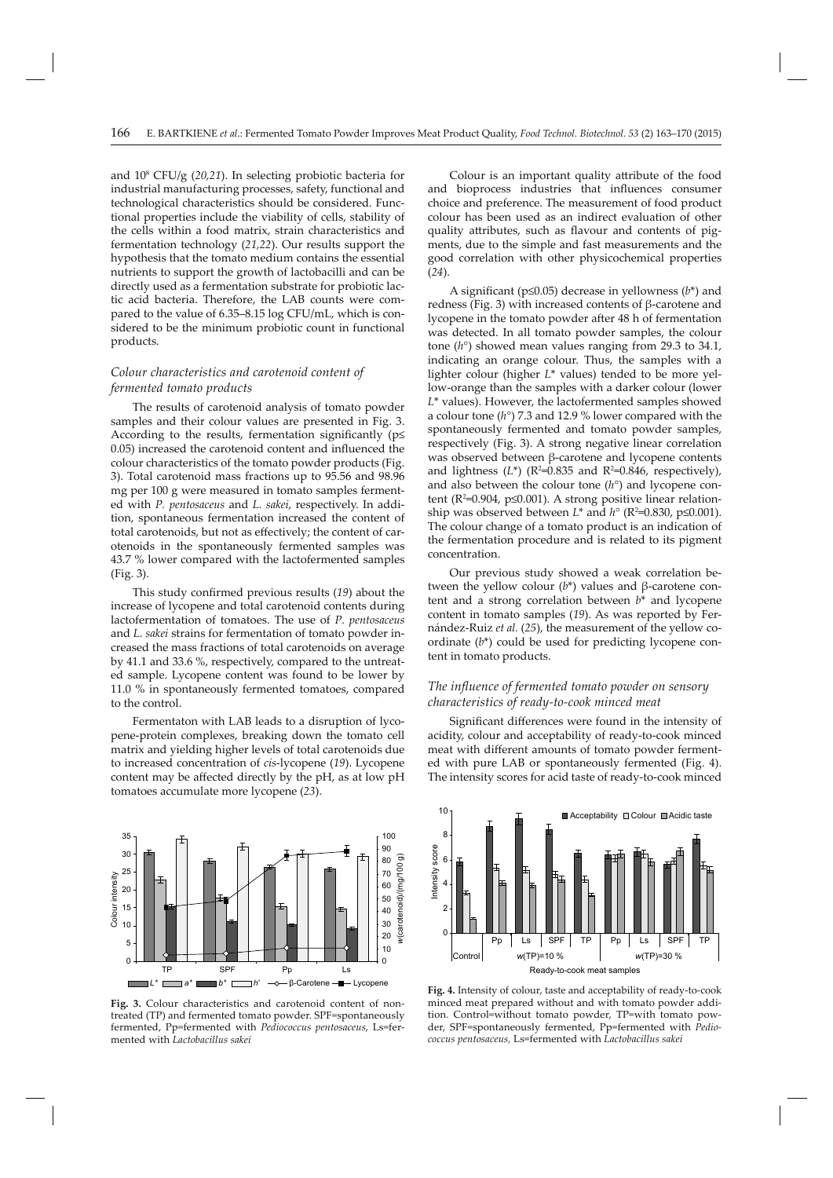and 108 CFU/g (*20,21*). In selecting probiotic bacteria for industrial manufacturing processes, safety, functional and technological characteristics should be considered. Functional properties include the viability of cells, stability of the cells within a food matrix, strain characteristics and fermentation technology (*21,22*). Our results support the hypothesis that the tomato medium contains the essential nutrients to support the growth of lactobacilli and can be directly used as a fermentation substrate for probiotic lactic acid bacteria. Therefore, the LAB counts were compared to the value of 6.35–8.15 log CFU/mL, which is considered to be the minimum probiotic count in functional products.

# *Colour characteristics and carotenoid content of fermented tomato products*

The results of carotenoid analysis of tomato powder samples and their colour values are presented in Fig. 3. According to the results, fermentation significantly ( $p\leq$ 0.05) increased the carotenoid content and influenced the colour characteristics of the tomato powder products (Fig. 3). Total carotenoid mass fractions up to 95.56 and 98.96 mg per 100 g were measured in tomato samples fermented with *P. pentosaceus* and *L. sakei*, respectively. In addition, spontaneous fermentation increased the content of total carotenoids, but not as effectively; the content of carotenoids in the spontaneously fermented samples was 43.7 % lower compared with the lactofermented samples (Fig. 3).

This study confirmed previous results (19) about the increase of lycopene and total carotenoid contents during lactofermentation of tomatoes. The use of *P. pentosaceus*  and *L. sakei* strains for fermentation of tomato powder increased the mass fractions of total carotenoids on average by 41.1 and 33.6 %, respectively, compared to the untreated sample. Lycopene content was found to be lower by 11.0 % in spontaneously fermented tomatoes, compared to the control.

Fermentaton with LAB leads to a disruption of lycopene-protein complexes, breaking down the tomato cell matrix and yielding higher levels of total carotenoids due to increased concentration of *cis*-lycopene (*19*). Lycopene content may be affected directly by the  $pH$ , as at low  $pH$ tomatoes accumulate more lycopene (*23*).



**Fig. 3.** Colour characteristics and carotenoid content of nontreated (TP) and fermented tomato powder. SPF=spontaneously fermented, Pp=fermented with *Pediococcus pentosaceus*, Ls=fermented with *Lactobacillus sakei* 

Colour is an important quality attribute of the food and bioprocess industries that influences consumer choice and preference. The measurement of food product colour has been used as an indirect evaluation of other quality attributes, such as flavour and contents of pigments, due to the simple and fast measurements and the good correlation with other physicochemical properties (*24*).

A significant ( $p \le 0.05$ ) decrease in yellowness ( $b^*$ ) and redness (Fig. 3) with increased contents of β-carotene and lycopene in the tomato powder after 48 h of fermentation was detected. In all tomato powder samples, the colour tone (*h*°) showed mean values ranging from 29.3 to 34.1, indicating an orange colour. Thus, the samples with a lighter colour (higher *L*\* values) tended to be more yellow-orange than the samples with a darker colour (lower *L*\* values). However, the lactofermented samples showed a colour tone (*h*°) 7.3 and 12.9 % lower compared with the spontaneously fermented and tomato powder samples, respectively (Fig. 3). A strong negative linear correlation was observed between β-carotene and lycopene contents and lightness  $(L^*)$  ( $R^2$ =0.835 and  $R^2$ =0.846, respectively), and also between the colour tone (*h*°) and lycopene content (R²=0.904, p≤0.001). A strong positive linear relationship was observed between  $L^*$  and  $h^{\circ}$  (R<sup>2</sup>=0.830, p≤0.001). The colour change of a tomato product is an indication of the fermentation procedure and is related to its pigment concentration.

Our previous study showed a weak correlation between the yellow colour (*b*\*) values and β-carotene content and a strong correlation between *b*\* and lycopene content in tomato samples (*19*). As was reported by Fernán dez-Ruiz *et al.* (*25*), the measurement of the yellow coordinate (*b*\*) could be used for predicting lycopene content in tomato products.

## *The infl uence of fermented tomato powder on sensory characteristics of ready-to-cook minced meat*

Significant differences were found in the intensity of acidity, colour and acceptability of ready-to-cook minced meat with different amounts of tomato powder fermented with pure LAB or spontaneously fermented (Fig. 4). The intensity scores for acid taste of ready-to-cook minced



**Fig. 4.** Intensity of colour, taste and acceptability of ready-to-cook minced meat prepared without and with tomato powder addition. Control=without tomato powder, TP=with tomato powder, SPF=spontaneously fermented, Pp=fermented with *Pediococcus pentosaceus,* Ls=fermented with *Lactobacillus sakei*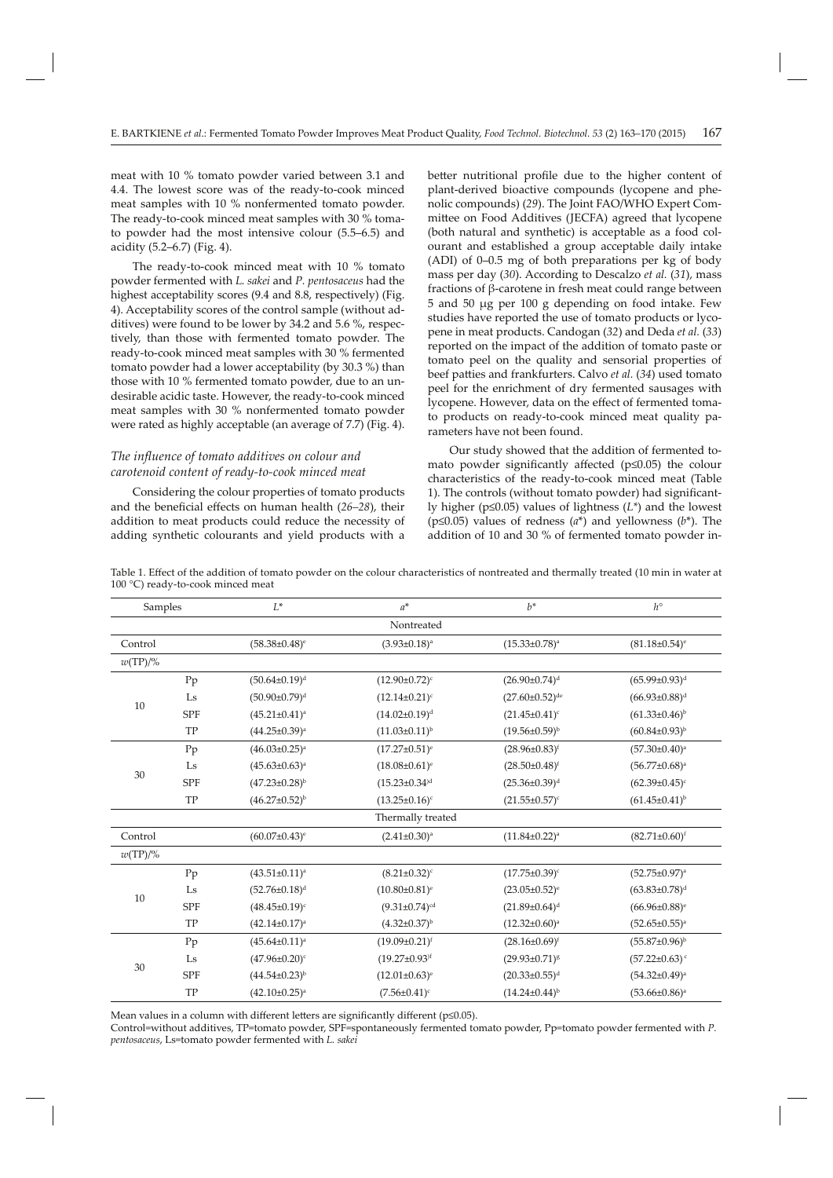meat with 10 % tomato powder varied between 3.1 and 4.4. The lowest score was of the ready-to-cook minced meat samples with 10 % nonfermented tomato powder. The ready-to-cook minced meat samples with 30 % tomato powder had the most intensive colour (5.5–6.5) and acidity (5.2–6.7) (Fig. 4).

The ready-to-cook minced meat with 10 % tomato powder fermented with *L. sakei* and *P. pentosaceus* had the highest acceptability scores (9.4 and 8.8, respectively) (Fig. 4). Acceptability scores of the control sample (without additives) were found to be lower by 34.2 and 5.6 %, respectively, than those with fermented tomato powder. The ready-to-cook minced meat samples with 30 % fermented tomato powder had a lower acceptability (by 30.3 %) than those with 10 % fermented tomato powder, due to an undesirable acidic taste. However, the ready-to-cook minced meat samples with 30 % nonfermented tomato powder were rated as highly acceptable (an average of 7.7) (Fig. 4).

# *The infl uence of tomato additives on colour and carotenoid content of ready-to-cook minced meat*

Considering the colour properties of tomato products and the beneficial effects on human health (26–28), their addition to meat products could reduce the necessity of adding synthetic colourants and yield products with a

better nutritional profile due to the higher content of plant-derived bioactive compounds (lycopene and phenolic compounds) (*29*). The Joint FAO/WHO Expert Committee on Food Additives (JECFA) agreed that lycopene (both natural and synthetic) is acceptable as a food colourant and established a group acceptable daily intake (ADI) of 0–0.5 mg of both preparations per kg of body mass per day (*30*). According to Descalzo *et al.* (*31*), mass fractions of β-carotene in fresh meat could range between 5 and 50 μg per 100 g depending on food intake. Few studies have reported the use of tomato products or lycopene in meat products. Candogan (*32*) and Deda *et al.* (*33*) reported on the impact of the addition of tomato paste or tomato peel on the quality and sensorial properties of beef patties and frankfurters. Calvo et al. (34) used tomato peel for the enrichment of dry fermented sausages with lycopene. However, data on the effect of fermented tomato products on ready-to-cook minced meat quality parameters have not been found.

Our study showed that the addition of fermented tomato powder significantly affected ( $p≤0.05$ ) the colour characteristics of the ready-to-cook minced meat (Table 1). The controls (without tomato powder) had significantly higher (p≤0.05) values of lightness (*L\**) and the lowest (p≤0.05) values of redness (*a*\*) and yellowness (*b*\*). The addition of 10 and 30 % of fermented tomato powder in-

Table 1. Effect of the addition of tomato powder on the colour characteristics of nontreated and thermally treated (10 min in water at 100 °C) ready-to-cook minced meat

| Samples           |            | $L^*$                           | $a^*$                           | $h^*$                   | $h^{\circ}$                     |  |  |  |  |
|-------------------|------------|---------------------------------|---------------------------------|-------------------------|---------------------------------|--|--|--|--|
| Nontreated        |            |                                 |                                 |                         |                                 |  |  |  |  |
| Control           |            | $(58.38 \pm 0.48)$ <sup>e</sup> | $(3.93 \pm 0.18)^a$             | $(15.33 \pm 0.78)^a$    | $(81.18 \pm 0.54)$ <sup>e</sup> |  |  |  |  |
| $w(TP)/\%$        |            |                                 |                                 |                         |                                 |  |  |  |  |
| 10                | Pp         | $(50.64 \pm 0.19)^d$            | $(12.90 \pm 0.72)^c$            | $(26.90 \pm 0.74)^d$    | $(65.99 \pm 0.93)^d$            |  |  |  |  |
|                   | Ls         | $(50.90 \pm 0.79)^d$            | $(12.14\pm0.21)^c$              | $(27.60 \pm 0.52)^{de}$ | $(66.93 \pm 0.88)^d$            |  |  |  |  |
|                   | <b>SPF</b> | $(45.21 \pm 0.41)^a$            | $(14.02 \pm 0.19)^d$            | $(21.45 \pm 0.41)^c$    | $(61.33 \pm 0.46)^b$            |  |  |  |  |
|                   | TP         | $(44.25 \pm 0.39)^a$            | $(11.03 \pm 0.11)^{b}$          | $(19.56 \pm 0.59)^{b}$  | $(60.84\pm0.93)^{b}$            |  |  |  |  |
| 30                | Pp         | $(46.03 \pm 0.25)^a$            | $(17.27 \pm 0.51)^e$            | $(28.96 \pm 0.83)^{f}$  | $(57.30 \pm 0.40)^a$            |  |  |  |  |
|                   | Ls         | $(45.63 \pm 0.63)^a$            | $(18.08 \pm 0.61)^e$            | $(28.50 \pm 0.48)^f$    | $(56.77 \pm 0.68)^a$            |  |  |  |  |
|                   | <b>SPF</b> | $(47.23 \pm 0.28)^{b}$          | $(15.23 \pm 0.34)$ <sup>d</sup> | $(25.36 \pm 0.39)^d$    | $(62.39 \pm 0.45)$ <sup>c</sup> |  |  |  |  |
|                   | TP         | $(46.27 \pm 0.52)^{b}$          | $(13.25 \pm 0.16)^c$            | $(21.55 \pm 0.57)^c$    | $(61.45 \pm 0.41)^{b}$          |  |  |  |  |
| Thermally treated |            |                                 |                                 |                         |                                 |  |  |  |  |
| Control           |            | $(60.07 \pm 0.43)$ <sup>e</sup> | $(2.41\pm0.30)$ <sup>a</sup>    | $(11.84 \pm 0.22)^a$    | $(82.71 \pm 0.60)^f$            |  |  |  |  |
| $w(TP)/\%$        |            |                                 |                                 |                         |                                 |  |  |  |  |
| 10                | Pp         | $(43.51 \pm 0.11)^a$            | $(8.21 \pm 0.32)^c$             | $(17.75 \pm 0.39)^c$    | $(52.75 \pm 0.97)^a$            |  |  |  |  |
|                   | Ls         | $(52.76 \pm 0.18)^d$            | $(10.80 \pm 0.81)^e$            | $(23.05 \pm 0.52)^e$    | $(63.83 \pm 0.78)^d$            |  |  |  |  |
|                   | <b>SPF</b> | $(48.45\pm0.19)^c$              | $(9.31 \pm 0.74)$ <sup>cd</sup> | $(21.89 \pm 0.64)^d$    | $(66.96 \pm 0.88)$ <sup>e</sup> |  |  |  |  |
|                   | TP         | $(42.14 \pm 0.17)^a$            | $(4.32 \pm 0.37)^{b}$           | $(12.32 \pm 0.60)^a$    | $(52.65 \pm 0.55)^a$            |  |  |  |  |
| 30                | Pp         | $(45.64 \pm 0.11)^a$            | $(19.09 \pm 0.21)^f$            | $(28.16\pm0.69)^f$      | $(55.87 \pm 0.96)^{b}$          |  |  |  |  |
|                   | Ls         | $(47.96 \pm 0.20)$ <sup>c</sup> | $(19.27 \pm 0.93)$ <sup>f</sup> | $(29.93 \pm 0.71)^{g}$  | $(57.22 \pm 0.63)$ <sup>c</sup> |  |  |  |  |
|                   | <b>SPF</b> | $(44.54\pm0.23)^{b}$            | $(12.01 \pm 0.63)^e$            | $(20.33 \pm 0.55)^d$    | $(54.32 \pm 0.49)^a$            |  |  |  |  |
|                   | TP         | $(42.10\pm0.25)^a$              | $(7.56 \pm 0.41)^c$             | $(14.24\pm0.44)^{b}$    | $(53.66 \pm 0.86)^a$            |  |  |  |  |

Mean values in a column with different letters are significantly different ( $p\leq 0.05$ ).

Control=without additives, TP=tomato powder, SPF=spontaneously fermented tomato powder, Pp=tomato powder fermented with *P. pentosaceus*, Ls=tomato powder fermented with *L. sakei*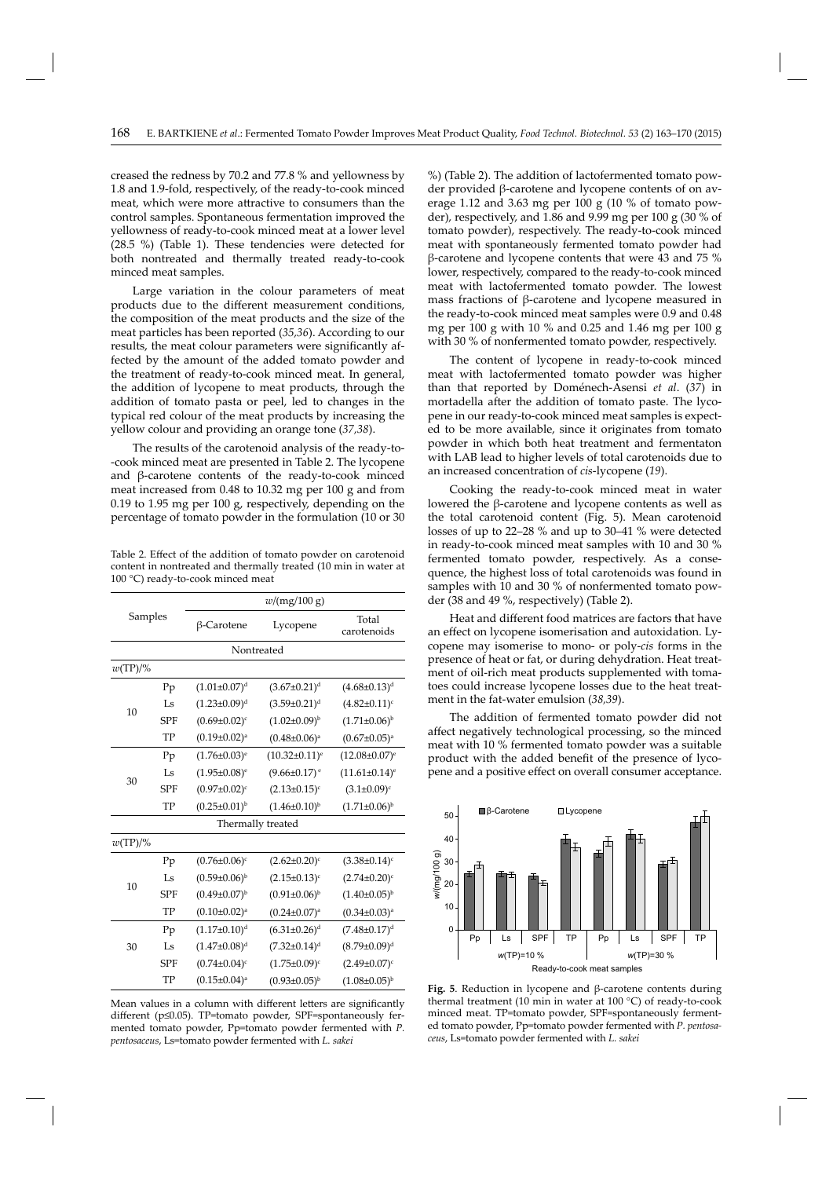creased the redness by 70.2 and 77.8 % and yellowness by 1.8 and 1.9-fold, respectively, of the ready-to-cook minced meat, which were more attractive to consumers than the control samples. Spontaneous fermentation improved the yellowness of ready-to-cook minced meat at a lower level (28.5 %) (Table 1). These tendencies were detected for both nontreated and thermally treated ready-to-cook minced meat samples.

Large variation in the colour parameters of meat products due to the different measurement conditions, the composition of the meat products and the size of the meat particles has been reported (*35,36*). According to our results, the meat colour parameters were significantly affected by the amount of the added tomato powder and the treatment of ready-to-cook minced meat. In general, the addition of lycopene to meat products, through the addition of tomato pasta or peel, led to changes in the typical red colour of the meat products by increasing the yellow colour and providing an orange tone (*37,38*).

The results of the carotenoid analysis of the ready-to- -cook minced meat are presented in Table 2. The lycopene and β-carotene contents of the ready-to-cook minced meat increased from 0.48 to 10.32 mg per 100 g and from 0.19 to 1.95 mg per 100 g, respectively, depending on the percentage of tomato powder in the formulation (10 or 30

Table 2. Effect of the addition of tomato powder on carotenoid content in nontreated and thermally treated (10 min in water at 100 °C) ready-to-cook minced meat

|                   |            |                       | w/(mg/100 g)                   |                                 |  |  |  |  |  |
|-------------------|------------|-----------------------|--------------------------------|---------------------------------|--|--|--|--|--|
| Samples           |            | β-Carotene            | Lycopene                       | Total<br>carotenoids            |  |  |  |  |  |
| Nontreated        |            |                       |                                |                                 |  |  |  |  |  |
| $w(TP)/\%$        |            |                       |                                |                                 |  |  |  |  |  |
|                   | Pp         | $(1.01 \pm 0.07)^d$   | $(3.67 \pm 0.21)^d$            | $(4.68 \pm 0.13)^d$             |  |  |  |  |  |
|                   | Ls         | $(1.23 \pm 0.09)^d$   | $(3.59 \pm 0.21)^d$            | $(4.82 \pm 0.11)^c$             |  |  |  |  |  |
| 10                | <b>SPF</b> | $(0.69 \pm 0.02)^c$   | $(1.02 \pm 0.09)^{b}$          | $(1.71\pm0.06)^{b}$             |  |  |  |  |  |
|                   | TP         | $(0.19 \pm 0.02)^a$   | $(0.48 \pm 0.06)^a$            | $(0.67 \pm 0.05)^a$             |  |  |  |  |  |
|                   | Pp         | $(1.76 \pm 0.03)^e$   | $(10.32 \pm 0.11)^e$           | $(12.08 \pm 0.07)^e$            |  |  |  |  |  |
| 30                | Ls         | $(1.95 \pm 0.08)^e$   | $(9.66 \pm 0.17)$ <sup>e</sup> | $(11.61 \pm 0.14)$ <sup>e</sup> |  |  |  |  |  |
|                   | <b>SPF</b> | $(0.97 \pm 0.02)^c$   | $(2.13 \pm 0.15)^c$            | $(3.1 \pm 0.09)^c$              |  |  |  |  |  |
|                   | TP         | $(0.25 \pm 0.01)^{b}$ | $(1.46 \pm 0.10)^{b}$          | $(1.71\pm0.06)^{b}$             |  |  |  |  |  |
| Thermally treated |            |                       |                                |                                 |  |  |  |  |  |
| $w(TP)/\%$        |            |                       |                                |                                 |  |  |  |  |  |
|                   | Pp         | $(0.76 \pm 0.06)^c$   | $(2.62 \pm 0.20)^c$            | $(3.38 \pm 0.14)^c$             |  |  |  |  |  |
|                   | Ls         | $(0.59 \pm 0.06)^{b}$ | $(2.15 \pm 0.13)^c$            | $(2.74 \pm 0.20)$ <sup>c</sup>  |  |  |  |  |  |
| 10                | <b>SPF</b> | $(0.49 \pm 0.07)^{b}$ | $(0.91 \pm 0.06)^{b}$          | $(1.40\pm0.05)^{b}$             |  |  |  |  |  |
|                   | TP         | $(0.10\pm0.02)^{a}$   | $(0.24 \pm 0.07)^a$            | $(0.34 \pm 0.03)^a$             |  |  |  |  |  |
|                   | Pp         | $(1.17 \pm 0.10)^d$   | $(6.31 \pm 0.26)^d$            | $(7.48 \pm 0.17)^d$             |  |  |  |  |  |
| 30                | Ls         | $(1.47 \pm 0.08)^d$   | $(7.32 \pm 0.14)^d$            | $(8.79 \pm 0.09)^d$             |  |  |  |  |  |
|                   | <b>SPF</b> | $(0.74 \pm 0.04)^c$   | $(1.75 \pm 0.09)^c$            | $(2.49 \pm 0.07)^c$             |  |  |  |  |  |
|                   | TP         | $(0.15 \pm 0.04)^a$   | $(0.93 \pm 0.05)^{b}$          | $(1.08 \pm 0.05)^{b}$           |  |  |  |  |  |

Mean values in a column with different letters are significantly different (p≤0.05). TP=tomato powder, SPF=spontaneously fermented tomato powder, Pp=tomato powder fermented with *P. pentosaceus*, Ls=tomato powder fermented with *L. sakei*

%) (Table 2). The addition of lactofermented tomato powder provided β-carotene and lycopene contents of on average 1.12 and 3.63 mg per 100 g (10 % of tomato powder), respectively, and  $1.86$  and  $9.99$  mg per 100 g (30 % of tomato powder), respectively. The ready-to-cook minced meat with spontaneously fermented tomato powder had  $β$ -carotene and lycopene contents that were 43 and 75 % lower, respectively, compared to the ready-to-cook minced meat with lactofermented tomato powder. The lowest mass fractions of β-carotene and lycopene measured in the ready-to-cook minced meat samples were 0.9 and 0.48 mg per 100 g with 10 % and 0.25 and 1.46 mg per 100 g with 30 % of nonfermented tomato powder, respectively.

The content of lycopene in ready-to-cook minced meat with lactofermented tomato powder was higher than that reported by Doménech-Asensi *et al*. (*37*) in mortadella after the addition of tomato paste. The lycopene in our ready-to-cook minced meat samples is expected to be more available, since it originates from tomato powder in which both heat treatment and fermentaton with LAB lead to higher levels of total carotenoids due to an increased concentration of *cis*-lycopene (*19*).

Cooking the ready-to-cook minced meat in water lowered the β-carotene and lycopene contents as well as the total carotenoid content (Fig. 5). Mean carotenoid losses of up to 22–28 % and up to 30–41 % were detected in ready-to-cook minced meat samples with 10 and 30 % fermented tomato powder, respectively. As a consequence, the highest loss of total carotenoids was found in samples with 10 and 30 % of nonfermented tomato powder (38 and 49 %, respectively) (Table 2).

Heat and different food matrices are factors that have an effect on lycopene isomerisation and autoxidation. Lycopene may isomerise to mono- or poly-*cis* forms in the presence of heat or fat, or during dehydration. Heat treatment of oil-rich meat products supplemented with tomatoes could increase lycopene losses due to the heat treatment in the fat-water emulsion (*38,39*).

The addition of fermented tomato powder did not affect negatively technological processing, so the minced meat with 10 % fermented tomato powder was a suitable product with the added benefit of the presence of lycopene and a positive effect on overall consumer acceptance.



**Fig. 5**. Reduction in lycopene and β-carotene contents during thermal treatment (10 min in water at 100 °C) of ready-to-cook minced meat. TP=tomato powder, SPF=spontaneously fermented tomato powder, Pp=tomato powder fermented with *P. pentosaceus*, Ls=tomato powder fermented with *L. sakei*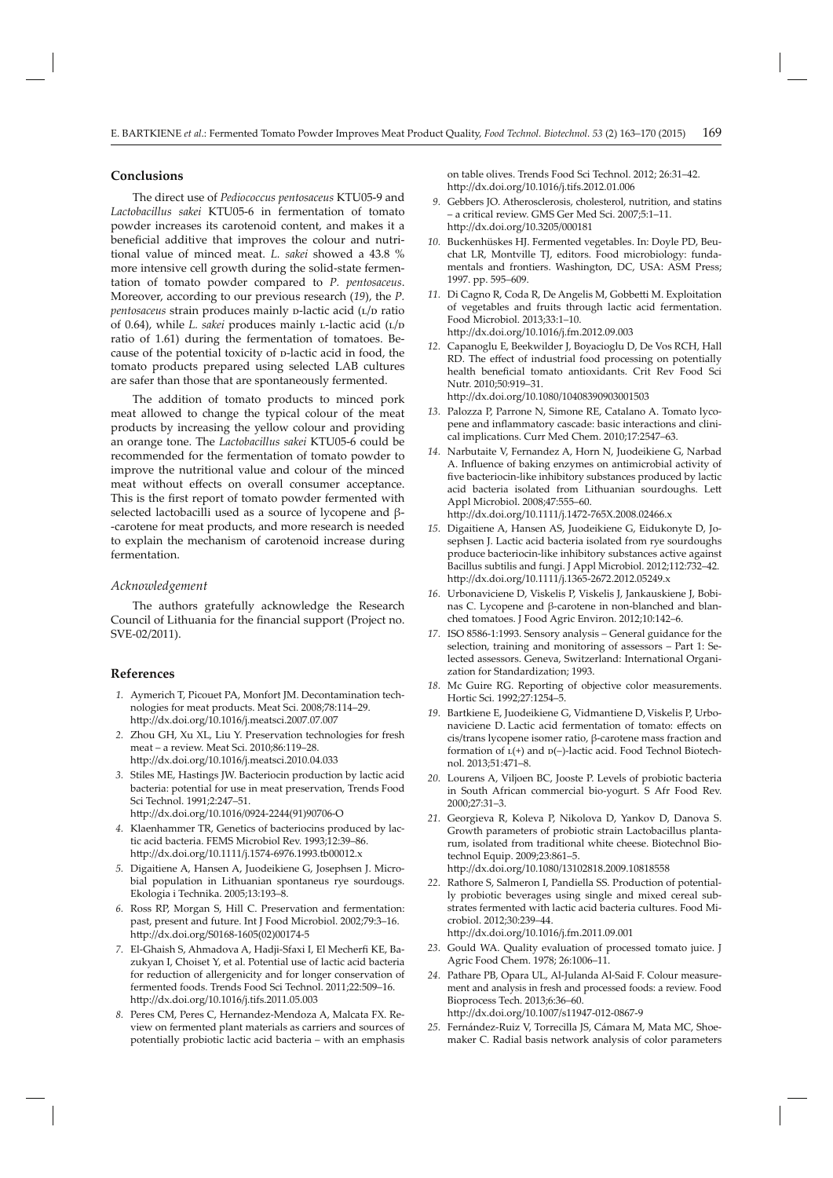# **Conclusions**

The direct use of *Pediococcus pentosaceus* KTU05-9 and *Lactobacillus sakei* KTU05-6 in fermentation of tomato powder increases its carotenoid content, and makes it a beneficial additive that improves the colour and nutritional value of minced meat. *L. sakei* showed a 43.8 % more intensive cell growth during the solid-state fermentation of tomato powder compared to *P. pentosaceus*. Moreover, according to our previous research (*19*), the *P.*  pentosaceus strain produces mainly **p-lactic acid** (L/D ratio of 0.64), while *L. sakei* produces mainly *L*-lactic acid (L/D ratio of 1.61) during the fermentation of tomatoes. Because of the potential toxicity of p-lactic acid in food, the tomato products prepared using selected LAB cultures are safer than those that are spontaneously fermented.

The addition of tomato products to minced pork meat allowed to change the typical colour of the meat products by increasing the yellow colour and providing an orange tone. The *Lactobacillus sakei* KTU05-6 could be recommended for the fermentation of tomato powder to improve the nutritional value and colour of the minced meat without effects on overall consumer acceptance. This is the first report of tomato powder fermented with selected lactobacilli used as a source of lycopene and β- -carotene for meat products, and more research is needed to explain the mechanism of carotenoid increase during fermentation.

#### *Acknowledgement*

The authors gratefully acknowledge the Research Council of Lithuania for the financial support (Project no. SVE-02/2011).

## **References**

- *1.* Aymerich T, Picouet PA, Monfort JM. Decontamination technologies for meat products. Meat Sci. 2008;78:114–29. http://dx.doi.org/10.1016/j.meatsci.2007.07.007
- *2.* Zhou GH, Xu XL, Liu Y. Preservation technologies for fresh meat – a review. Meat Sci. 2010;86:119–28. http://dx.doi.org/10.1016/j.meatsci.2010.04.033
- *3.* Stiles ME, Hastings JW. Bacteriocin production by lactic acid bacteria: potential for use in meat preservation, Trends Food Sci Technol. 1991;2:247–51. http://dx.doi.org/10.1016/0924-2244(91)90706-O
- *4.* Klaenhammer TR, Genetics of bacteriocins produced by lactic acid bacteria. FEMS Microbiol Rev. 1993;12:39–86. http://dx.doi.org/10.1111/j.1574-6976.1993.tb00012.x
- *5.* Digaitiene A, Hansen A, Juodeikiene G, Josephsen J. Microbial population in Lithuanian spontaneus rye sourdougs. Ekologia i Technika. 2005;13:193–8.
- *6.* Ross RP, Morgan S, Hill C. Preservation and fermentation: past, present and future. Int J Food Microbiol. 2002;79:3–16. http://dx.doi.org/S0168-1605(02)00174-5
- *7.* El-Ghaish S, Ahmadova A, Hadji-Sfaxi I, El Mecherfi KE, Bazukyan I, Choiset Y, et al. Potential use of lactic acid bacteria for reduction of allergenicity and for longer conservation of fermented foods. Trends Food Sci Technol. 2011;22:509–16. http://dx.doi.org/10.1016/j.tifs.2011.05.003
- *8.* Peres CM, Peres C, Hernandez-Mendoza A, Malcata FX. Review on fermented plant materials as carriers and sources of potentially probiotic lactic acid bacteria – with an emphasis

on table olives. Trends Food Sci Technol. 2012; 26:31–42. http://dx.doi.org/10.1016/j.tifs.2012.01.006

- *9.* Gebbers JO. Atherosclerosis, cholesterol, nutrition, and statins – a critical review. GMS Ger Med Sci. 2007;5:1–11. http://dx.doi.org/10.3205/000181
- *10.* Buckenhüskes HJ. Fermented vegetables. In: Doyle PD, Beuchat LR, Montville TJ, editors. Food microbiology: fundamentals and frontiers. Washington, DC, USA: ASM Press; 1997. pp. 595–609.
- 11. Di Cagno R, Coda R, De Angelis M, Gobbetti M. Exploitation of vegetables and fruits through lactic acid fermentation. Food Microbiol. 2013;33:1–10. http://dx.doi.org/10.1016/j.fm.2012.09.003
- *12.* Capanoglu E, Beekwilder J, Boyacioglu D, De Vos RCH, Hall RD. The effect of industrial food processing on potentially health beneficial tomato antioxidants. Crit Rev Food Sci Nutr. 2010;50:919–31.

http://dx.doi.org/10.1080/10408390903001503

- *13.* Palozza P, Parrone N, Simone RE, Catalano A. Tomato lycopene and inflammatory cascade: basic interactions and clinical implications. Curr Med Chem. 2010;17:2547–63.
- *14.* Narbutaite V, Fernandez A, Horn N, Juodeikiene G, Narbad A. Influence of baking enzymes on antimicrobial activity of five bacteriocin-like inhibitory substances produced by lactic acid bacteria isolated from Lithuanian sourdoughs. Lett Appl Microbiol. 2008;47:555–60. http://dx.doi.org/10.1111/j.1472-765X.2008.02466.x
- *15.* Digaitiene A, Hansen AS, Juodeikiene G, Eidukonyte D, Josephsen J. Lactic acid bacteria isolated from rye sourdoughs produce bacteriocin-like inhibitory substances active against Bacillus subtilis and fungi. J Appl Microbiol. 2012;112:732–42. http://dx.doi.org/10.1111/j.1365-2672.2012.05249.x
- *16.* Urbonaviciene D, Viskelis P, Viskelis J, Jankauskiene J, Bobinas C. Lycopene and β-carotene in non-blanched and blanched tomatoes. J Food Agric Environ. 2012;10:142–6.
- *17.* ISO 8586-1:1993. Sensory analysis General guidance for the selection, training and monitoring of assessors – Part 1: Selected assessors. Geneva, Switzerland: International Organization for Standardization; 1993.
- *18.* Mc Guire RG. Reporting of objective color measurements. Hortic Sci. 1992;27:1254–5.
- *19.* Bartkiene E, Juodeikiene G, Vidmantiene D,Viskelis P, Urbonaviciene D. Lactic acid fermentation of tomato: effects on cis/trans lycopene isomer ratio, β-carotene mass fraction and formation of  $L(+)$  and  $D(-)$ -lactic acid. Food Technol Biotechnol. 2013;51:471–8.
- *20.* Lourens A, Viljoen BC, Jooste P. Levels of probiotic bacteria in South African commercial bio-yogurt. S Afr Food Rev. 2000;27:31–3.
- *21.* Georgieva R, Koleva P, Nikolova D, Yankov D, Danova S. Growth parameters of probiotic strain Lactobacillus plantarum, isolated from traditional white cheese. Biotechnol Biotechnol Equip. 2009;23:861–5. http://dx.doi.org/10.1080/13102818.2009.10818558
- *22.* Rathore S, Salmeron I, Pandiella SS. Production of potentially probiotic beverages using single and mixed cereal substrates fermented with lactic acid bacteria cultures. Food Microbiol. 2012;30:239–44. http://dx.doi.org/10.1016/j.fm.2011.09.001
- *23.* Gould WA. Quality evaluation of processed tomato juice. J Agric Food Chem. 1978; 26:1006–11.
- *24.* Pathare PB, Opara UL, Al-Julanda Al-Said F. Colour measurement and analysis in fresh and processed foods: a review. Food Bioprocess Tech. 2013;6:36–60. http://dx.doi.org/10.1007/s11947-012-0867-9
- *25.* Fernández-Ruiz V, Torrecilla JS, Cámara M, Mata MC, Shoemaker C. Radial basis network analysis of color parameters